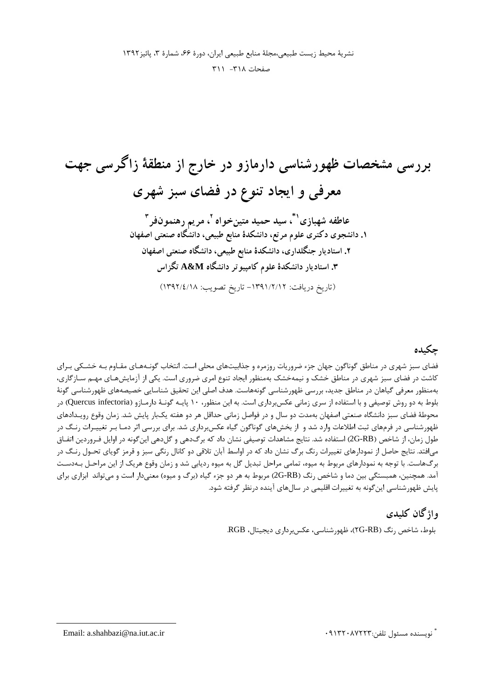بررسی مشخصات ظهورشناسی دارمازو در خارج از منطقهٔ زاگرسی جهت معرفی و ایجاد تنوع در فضای سبز شهری عاطفه شهبازي'`ٌ، سيد حميد متينخواه <sup>٢</sup>، مريم رهنمونفر ّ ۱. دانشجوی دکتری علوم مرتع، دانشکدهٔ منابع طبیعی، دانشگاه صنعتی اصفهان ۲. استادیار جنگلداری، دانشکدهٔ منابع طبیعی، دانشگاه صنعتی اصفهان ۳. استادیار دانشکدهٔ علوم کامپیوتر دانشگاه A&M تگزاس (تاريخ دريافت: ١٣٩١/٢/١٢ - تاريخ تصويب: ١٣٩٢/٤/١٨)

#### جكىدە

فضای سبز شهری در مناطق گوناگون جهان جزء ضروریات روزمره و جذابیتهای محلی است. انتخاب گونـههـای مقـاوم بـه خشـکی بـرای کاشت در فضای سبز شهری در مناطق خشک و نیمهخشک بهمنظور ایجاد تنوع امری ضروری است. یکی از آزمایشهـای مهـم سـازگاری، بهمنظور معرفی گیاهان در مناطق جدید، بررسی ظهورشناسی گونههاست. هدف اصلی این تحقیق شناسایی خصیصههای ظهورشناسی گونهٔ بلوط به دو روش توصیفی و با استفاده از سری زمانی عکسبرداری است. به این منظور، ۱۰ پایـه گونـهٔ دارمـازو (Quercus infectoria) در محوطهٔ فضای سبز دانشگاه صنعتی اصفهان بهمدت دو سال و در فواصل زمانی حداقل هر دو هفته یکبار پایش شد. زمان وقوع رویـدادهای ظهورشناسی در فرمهای ثبت اطلاعات وارد شد و از بخشهای گوناگون گیاه عکس برداری شد. برای بررسی اثر دمـا بـر تغییـرات رنـگ در طول زمان، از شاخص (2G-RB) استفاده شد. نتايج مشاهدات توصيفي نشان داد كه برگدهي و گلدهي اينگونه در اوايل فـروردين اتفـاق میافتد. نتایج حاصل از نمودارهای تغییرات رنگ برگ نشان داد که در اواسط آبان تلاقی دو کانال رنگی سبز و قرمز گویای تحـول رنـگ در برگهاست. با توجه به نمودارهای مربوط به میوه، تمامی مراحل تبدیل گل به میوه ردیابی شد و زمان وقوع هریک از این مراحـل بـهدسـت آمد. همچنین، همبستگی بین دما و شاخص رنگ (QG-RB) مربوط به هر دو جزء گیاه (برگ و میوه) معنیدار است و میتواند ابزاری برای یایش ظهورشناسی این گونه به تغییرات اقلیمی در سال های آینده درنظر گرفته شود.

## واژگان كليدي

بلوط، شاخص رنگ (TG-RB)، ظهورشناسی، عکس برداری دیجیتال، RGB.

ً نويسنده مسئول تلفن:۹۱۳۲۰۸۷۲۲۳

Email: a.shahbazi@na.iut.ac.ir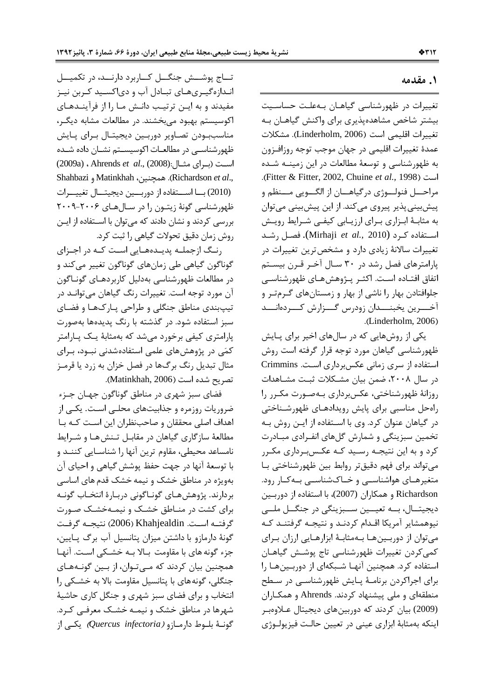### **( - 1 .**

تغییرات در ظهورشناسی گیاهـان بـهعلـت حساسـیت بیشتر شاخص مشاهدهپذیری برای واکنش گیاهـان بـه تغييرات اقليمي است (Linderholm, 2006). مشكلات عمدة تغييرات اقليمي در جهان موجب توجه روزافـزون به ظهورشناسی و توسعهٔ مطالعات در این زمینــه شــده (. Fitter & Fitter, 2002, Chuine *et al.,* 1998 ) / مراحـــل فنولـــوژي درگياهــــان از الگـــويي مـــنظم و پیشبینی پذیر پیروی میکند. از این پیشبینی میتوان به مثابـهٔ ابـزاري بـراي ارزيـابي كيفـي شـرايط رويـش اســتفاده كــرد (Mirhaji *et al.*, 2010). فصــل رشــد تغییرات سالانهٔ زیادی دارد و مشخصترین تغییرات در پارامترهای فصل رشد در ۳۰ سـال آخـر قـرن بیسـتم اتفاق افتـاده اسـت. اكثـر پـژوهشهـاي ظهورشناسـي جلوافتادن بهار را ناشی از بهار و زمستانهای گرمتر و آخــــرين يخبنــــدان زودرس گــــزارش كــــردهانــــد .( Linderholm, 2006)

یکی از روشهایی که در سالهای اخیر برای پـایش ظهورشناسی گیاهان مورد توجه قرار گرفته است روش استفاده از سری زمانی عکس برداری است. Crimmins در سال ۲۰۰۸، ضمن بیان مشــکلات ثبـت مشــاهدات روزانهٔ ظهورشناختی، عکسبرداری بـهصـورت مکـرر را راهحل مناسبی برای پایش رویدادهـای ظهورشـناختی در گیاهان عنوان کرد. وی با اسـتفاده از ایــن روش بــه تخمین سبزینگی و شمارش گلهای انفـرادی مبـادرت کرد و به این نتیجـه رسـید کـه عکـسبـرداری مکـرر می تواند برای فهم دقیق تر روابط بین ظهورشناختی با متغیرهـای هواشناسـی و خـاکشناسـی بـهکـار رود. Richardson و همكاران (2007)، با استفاده از دوربين ديجيتــال، بـــه تعيـــين ســـبزينگي در جنگـــل ملـــي نیوهمشایر آمریکا اقـدام کردنـد و نتیجـه گرفتنـد کـه میتوان از دوربینها بهمثابهٔ ابزارهایی ارزان برای كمي كردن تغييرات ظهورشناسي تاج پوشش گياهـان استفاده کرد. همچنین آنهـا شـبکهای از دوربـینهـا را برای اجراکردن برنامـهٔ پـایش ظهورشناسـی در سـطح منطقهای و ملی پیشنهاد کردند. Ahrends و همکـاران (2009) بیان کردند که دوربینهای دیجیتال عـلاوهبـر ينكه بهمثابهٔ ابزاري عيني در تعيين حالت فيزيولـوژي  $\overline{\phantom{a}}$ 

تـــاج پوشـــش جنگـــل كـــاربرد دارنـــد، در تكميـــل انـدازهگیـریهـای تبـادل آب و دیاکسـید کـربن نیـز مفیدند و به ایـن ترتیـب دانـش مـا را از فرآینـدهـای اکوسیستم بهبود میبخشند. در مطالعات مشابه دیگـر، مناسببودن تصاوير دوربين ديجيتـال بـراي پـايش ظهورشناســی در مطالعــات اکوسیســتم نشــان داده شــده (2009a) Ahrends *et al.*, (2008): است (برای مثـال) Shahbazi و Matinkhah. همچنین، Matinkhah (2010) بسا استفاده از دوربسين ديجيتسال تغييسرات ظهورشناسی گونهٔ زیتـون را در ســالهــای ۲۰۰۶-۲۰۰۹ بررسی کردند و نشان دادند که میتوان با اسـتفاده از ایـن روش زمان دقیق تحولات گیاهی را ثبت کرد.

رنگ ازجملــه پدیــدههــایی اســت کــه در اجــزای گوناگون گیاهی طی زمانهای گوناگون تغییر میکند و در مطالعات ظهورشناسی بهدلیل کاربردهـای گونـاگون آن مورد توجه است. تغییرات رنگ گیاهان میتوانـد در تيپېندي مناطق جنگلي و طراحي پـارکـهـا و فضـاي سبز استفاده شود. در گذشته با رنگ پدیدهها بهصورت پارامتری کیفی برخورد میشد که بهمثابهٔ یـک پـارامتر کمّی در پژوهشهای علمی استفادهشدنی نبـود، بـرای مثال تبدیل رنگ برگها در فصل خزان به زرد یا قرمـز تصريح شده است (Matinkhah, 2006).

فضای سبز شهری در مناطق گوناگون جهـان جـزء ضروریات روزمره و جذابیتهای محلـی اسـت. یکـی از اهداف اصلی محققان و صاحبنظران این است کـه بـا مطالعهٔ سازگاری گیاهان در مقابـل تـنش۵هـا و شـرایط نامساعد محیطی، مقاوم ترین آنها را شناسـایی کننــد و با توسعهٔ آنها در جهت حفظ پوشش گیاهی و احیای آن بهویژه در مناطق خشک و نیمه خشک قدم های اساسی بردارند. پژوهشهـای گونـاگونی دربـارهٔ انتخـاب گونـه برای کشت در مناطق خشک و نیمهخشک صورت  $\zeta$ و فتــه اســت. Khahjealdin (2006) نتيجــه گرفــت گونهٔ دارمازو با داشتن میزان پتانسیل آب برگ پـایین، جزء گونه های با مقاومت بالا بـه خشـكی اسـت. آنهـا همچنین بیان کردند که مے تـوان، از بـین گونـههـای جنگلی، گونههای با پتانسیل مقاومت بالا به خشکی را انتخاب و برای فضای سبز شهری و جنگل کاری حاشیهٔ شهرها در مناطق خشک و نیمـه خشـک معرفـی کـرد. كونــهٔ بلــوط دارمــازو *(Quercus infectoria)* يكــى از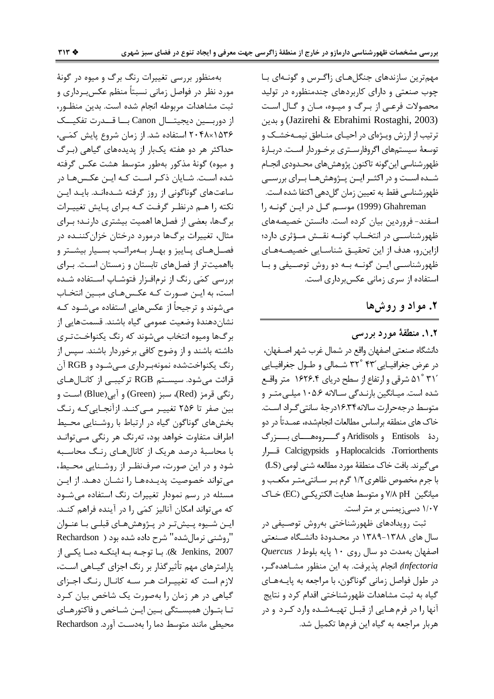مهمترین سازندهای جنگلهای زاگرس و گونهای با چوب صنعتی و دارای کاربردهای چندمنظوره در تولید محصولات فرعبي از بـرگ و ميـوه، مـان و گـال اسـت (Jazirehi & Ebrahimi Rostaghi, 2003) و بدين ترتیب از ارزش ویـژهای در احیـای منـاطق نیمـهخشـک و توسعهٔ سیستمهای اگروفارسـتری برخـوردار اسـت. دربـارهٔ ظهور شناسي اين گونه تاكنون يژوهش هاي محـدودي انجــام شــده اســت و در اکثــر ایــن پــژوهشهــا بــرای بررســی ظهورشناسي فقط به تعيين زمان گلدهي اكتفا شده است.

Ghahreman (1999) موسم گل در این گونـه را اسفند- فروردین بیان کرده است. دانستن خصیصههای ظهورشناســی در انتخــاب گونــه نقــش مــؤثری دارد؛ ازاین رو، هدف از این تحقیـق شناسـایی خصیصـههـای ظهورشناسی این گونـه بـه دو روش توصـیفی و بـا استفاده از سری زمانی عکس برداری است.

### ۲. مواد و روش ها

۰۱.۲ منطقهٔ مورد بررسی دانشگاه صنعتي اصفهان واقع در شمال غرب شهر اصـفهان، در عرض جغرافیایی ۴۳° ۳۲ شمالی و طول جغرافیایی ۳۱٬ ۵۱<sup>°</sup> ۵۱ شرقی و ارتفاع از سطح دریای ۱۶۲۶.۴ متر واقع شده است. میـانگین بارنـدگی سـالانه ۱۰۵.۶ میلـیمتـر و متوسط درجهحرارت سالانه١۶.٣۴درجهٔ سانتی گـراد اسـت. خاک های منطقه براساس مطالعات انجامشده، عمـدتاً در دو ردهٔ Entisols و Aridisols و گــــروههــــای بــــزرگ Calcigypsids و Calcigypsids و Calcigypsids قرار می گیرند. بافت خاک منطقهٔ مورد مطالعه شنبی لومی (LS) با جرم مخصوص ظاهری ۱/۲ گرم بـر سـانتی،متـر مکعـب و ميانگين V/A pH و متوسط هدايت الكتريكـي (EC) خـاك ١/٠٧ دسی; یمنس بر متر است.

ثبت رویدادهای ظهورشناختی بهروش توصیفی در سال های ۱۳۸۸–۱۳۸۹ در محـدودهٔ دانشـگاه صـنعتی Quercus ) اصفهان بهمدت دو سال روی ١٠ پايه بلوط infectoria) انجام پذیرفت. به این منظور مشـاهدهگـر، در طول فواصل زمانی گوناگون، با مراجعه به پایـههـای گیاه به ثبت مشاهدات ظهورشناختی اقدام کرد و نتایج آنها را در فرمهایی از قبـل تهیـهشـده وارد کـرد و در هربار مراجعه به گیاه این فرمها تکمیل شد.

بهمنظور بررسی تغییرات رنگ برگ و میوه در گونهٔ مورد نظر در فواصل زمانی نسبتاً منظم عکسبرداری و ثبت مشاهدات مربوطه انجام شده است. بدين منظور، از دوربـــين ديجيتـــال Canon بـــا قـــدرت تفكيـــك ۲۰۴۸×۱۵۳۶ استفاده شد. از زمان شروع پایش کمّـی، حداکثر هر دو هفته یکبار از پدیدههای گیاهی (بـرگ و ميوه) گونهٔ مذکور بهطور متوسط هشت عکس گرفته شده اسـت. شـایان ذکـر اسـت کـه ایـن عکـس۵مـا در ساعتهای گوناگونی از روز گرفته شـدهانـد. بایـد ایـن نکته را هـم درنظـر گرفـت کـه بـرای پـایش تغییـرات برگها، بعضی از فصلها اهمیت بیشتری دارنـد؛ بـرای مثال، تغییرات برگها درمورد درختان خزان کننــده در فصـلهـای پـاییز و بهـار بـهمراتـب بسـیار بیشـتر و بااهمیتتر از فصلهای تابستان و زمستان است. برای بررسی کمّی رنگ از نرمافزار فتوشـاپ اسـتفاده شـده است، به ایـن صـورت کـه عکـسهـای مبـین انتخـاب میشوند و ترجیحاً از عکسهایی استفاده میشــود کــه نشان دهندهٔ وضعیت عمومی گیاه باشند. قسمتهایی از برگها وميوه انتخاب مىشوند كه رنگ يكنواخـتتـرى داشته باشند و از وضوح کافی برخوردار باشند. سیس از رنگ یکنواختشده نمونهبرداری مےشود و RGB آن قرائت می شود. سیستم RGB ترکیبی از کانـالهـای رنگي قرمز (Red)، سبز (Green) و آبي(Blue) است و بین صفر تا ۲۵۶ تغییـر مـی کنـد. ازآنجـایی کـه رنـگ بخشهای گوناگون گیاه در ارتباط با روشـنایی محـیط اطراف متفاوت خواهد بود، تهرنگ هر رنگی مـیتوانـد با محاسبهٔ درصد هریک از کانالهای رنگ محاسـبه شود و در این صورت، صرفنظـر از روشـنایی محـیط، می تواند خصوصیت پدیـدههـا را نشـان دهـد. از ایـن مسئله در رسم نمودار تغییرات رنگ استفاده می شود كه مى تواند امكان آناليز كمّى را در آينده فراهم كنـد. ايـن شـيوه پـيشتر در پـژوهشهـاي قبلـي بـا عنـوان "روشنی نرمال شده" شرح داده شده بود ( Rechardson 2007 . & Jenkins, با توجـه بـه اينكـه دمـا يكـي از یارامترهای مهم تأثیرگذار بر رنگ اجزای گیــاهی اسـت، لازم است که تغییـرات هـر سـه کانـال رنـگ اجـزای گیاهی در هر زمان را بهصورت یک شاخص بیان کـرد تـا بتـوان همبسـتگي بـين ايـن شـاخص و فاكتورهـاي محيطي مانند متوسط دما را بهدست آورد. Rechardson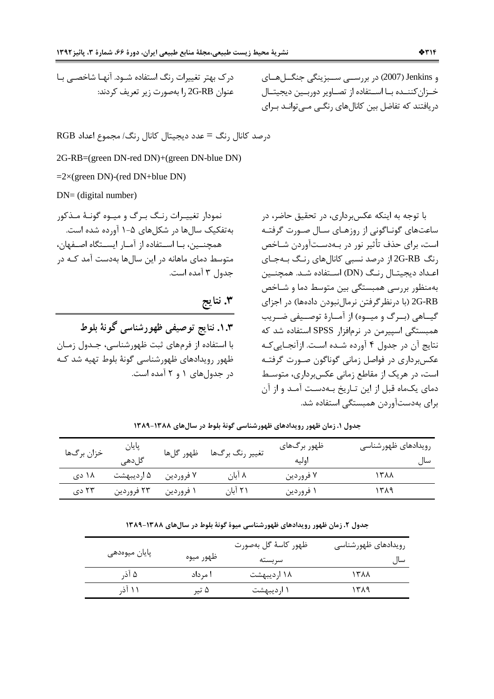درک بهتر تغییرات رنگ استفاده شـود. آنهـا شاخصـی بـا عنوان 2G-RB را بهصورت زير تعريف كردند: و Jenkins (2007) در بررســي ســبزينگي جنگــلهــاي خـزان كننــده بــا اســتفاده از تصــاوير دوربــين ديجيتــال دریافتند که تفاضل بین کانالهای رنگے مے توانـد بـرای

2G-RB=(green DN-red DN)+(green DN-blue DN)

 $=2\times$ (green DN)-(red DN+blue DN)

 $DN = (digital number)$ 

نمودار تغییـرات رنـگ بـرگ و میـوه گونـهٔ مـذکور بهتفکیک سال ها در شکل های ۵–۱ آورده شده است. همچنــین، بـا اســتفاده از آمـار ایســتگاه اصــفهان، متوسط دمای ماهانه در این سالها بهدست آمد کـه در جدول ۳ آمده است.

۰.۳. نتایج توصیفی ظهورشناسی گونهٔ بلوط با استفاده از فرمهای ثبت ظهورشناسی، جـدول زمـان ظهور رویدادهای ظهورشناسی گونهٔ بلوط تهیه شد کـه در جدولهای ۱ و ۲ آمده است. با توجه به اینکه عکسبرداری، در تحقیق حاضر، در ساعتهای گونـاگونی از روزهـای سـال صـورت گرفتـه است، برای حذف تأثیر نور در بـهدسـتآوردن شـاخص رنگ 2G-RB از درصد نسبی کانالهای رنگ بـهجـای اعـداد دیجیتـال ,نـگ (DN) اسـتفاده شـد. همچنــین بهمنظور بررسي همبستگي بين متوسط دما و شـاخص 2G-RB (با درنظر گرفتن نرمالنبودن دادهها) در اجزای گیــاهی (بــرگ و میــوه) از آمــارهٔ توصــیفی ضــریب همبستگی اسیپرمن در نرمافزار SPSS استفاده شد که نتايج آن در جدول ۴ آورده شـده اسـت. ازآنجـايي كـه عکس برداری در فواصل زمانی گوناگون صـورت گرفتـه است، در هریک از مقاطع زمانی عکسبرداری، متوسط دمای یکماه قبل از این تـاریخ بـهدسـت آمـد و از آن برای بهدستآوردن همبستگی استفاده شد.

| خزان برگها | پایان<br>گلدھی | ظهور گلها | تغيير رنگ برگھا | ظهور برگهای<br>اوليه | رويدادهاى ظهورشناسى<br>سال |
|------------|----------------|-----------|-----------------|----------------------|----------------------------|
| ۱۸ دی      | ۵ اردیبهشت     | ۷ فروردين | ۸ آبان          | ۷ فروردين            | ۱۳۸۸                       |
| ۲۳ دی      | ۲۳ فروردین     | ۱ فروردين | ۲۱ آبان         | ۱ فروردین            | ۱۳۸۹                       |

جدول ۱. زمان ظهور رویدادهای ظهورشناسی گونهٔ بلوط در سال های ۱۳۸۸-۱۳۸۹

جدول ۲. زمان ظهور رویدادهای ظهورشناسی میوهٔ گونهٔ بلوط در سال های ۱۳۸۸-۱۳۸۹

|               |           | ظهور كاسهٔ گل بهصورت | رویدادهای ظهورشناسی |  |
|---------------|-----------|----------------------|---------------------|--|
| پایان میوەدھی | ظهور ميوه | سربسته               | سال                 |  |
| ۵ آذ,         | ا مرداد   | ۱۸ اردیبهشت          | ۱۳۸۸                |  |
| ۱۱ آذ,        | ۵ تیر     | ۱ اردیبهشت           | ۱۳۸۹                |  |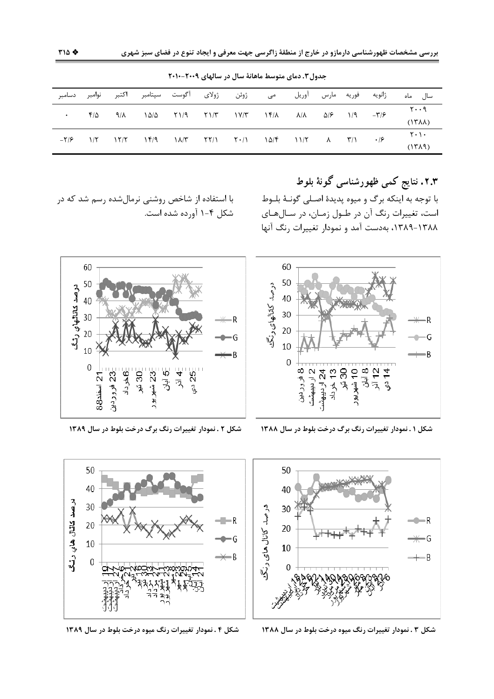| نوامبر دسامبر |            |  | ژوئن ژولای آگوست سپتامبر اکتبر                                                                                                                      |  |  |  |  | ژانویه فوریه مارس آوریل می |  | سال ماه                                                |
|---------------|------------|--|-----------------------------------------------------------------------------------------------------------------------------------------------------|--|--|--|--|----------------------------|--|--------------------------------------------------------|
| $\bullet$     | $F/\Delta$ |  | $9/\lambda$ $\lambda\Delta/\Delta$ $5/\lambda$ $5/\lambda$ $5/\lambda$ $1/\gamma$ $1/\gamma$ $1/\gamma$ $1/\gamma$ $1/\gamma$ $1/\gamma$ $1/\gamma$ |  |  |  |  |                            |  | ۲۰۰۹<br>$(17\lambda\lambda)$                           |
|               |            |  |                                                                                                                                                     |  |  |  |  |                            |  | $\mathbf{Y} \cdot \mathbf{I} \cdot$<br>$(17\lambda$ 9) |

جدول ٣. دمای متوسط ماهانهٔ سال در سالهای ٢٠١٩-٢٠١٠

۲.۳. نتایج کمی ظهورشناسی گونهٔ بلوط با توجه به اينكه برگ و ميوه پديدهٔ اصـلي گونــهٔ بلــوط است، تغییرات رنگ آن در طـول زمـان، در سـالهـای ۱۳۸۸-۱۳۸۹، بهدست آمد و نمودار تغییرات رنگ آنها

R

G

۰B

 $5 - 14$ 

با استفاده از شاخص روشنی نرمالشده رسم شد که در شکل ۴-۱ آورده شده است.



شکل ۱ . نمودار تغییرات رنگ برگ درخت بلوط در سال ۱۳۸۸

درصد كالمانهاي رنگ  $30$ 20  $10$  $\overline{0}$ 23- فروردين ≒6خر داد  $\frac{5}{2}$ 21 اسفند 88

شکل ۲ . نمودار تغییرات رنگ برگ درخت بلوط در سال ۱۳۸۹



شکل ۴ . نمودار تغییرات رنگ میوه درخت بلوط در سال ۱۳۸۹



شکل ۳ . نمودار تغییرات رنگ میوه درخت بلوط در سال ۱۳۸۸

60

50

 $40<sup>°</sup>$ 

50

40

30

 $\overline{20}$ 

 $10$ 

 $\Omega$ 

درصد کانال هاي رنگ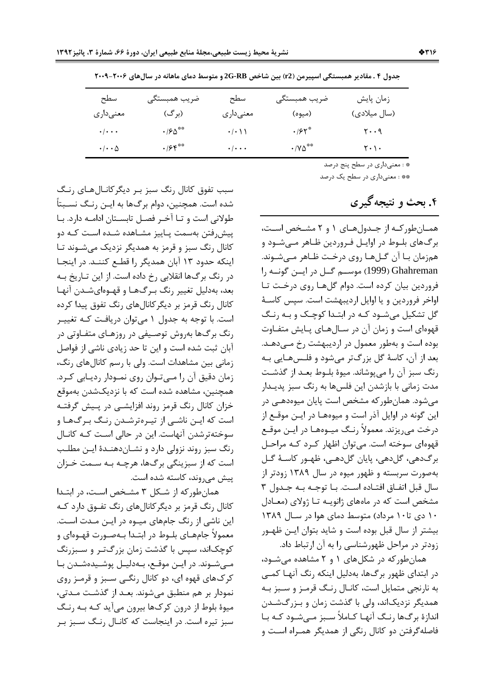| سطح<br>معنىدارى          | ضريب همبستگي<br>(برگ)  | سطح<br>معنىدارى           | ضريب همبستگي<br>(ميوه)  | زمان پايش<br>(سال میلادی)                                                                                       |
|--------------------------|------------------------|---------------------------|-------------------------|-----------------------------------------------------------------------------------------------------------------|
| $\cdot/\cdot\cdot$       | $\cdot$ /۶ $\Delta$ ** | $\cdot/\cdot$ \ \         | .195                    | $y \cdot \cdot \gamma$                                                                                          |
| $\cdot/\cdot\cdot\Delta$ | .95                    | $\cdot$ / $\cdot$ $\cdot$ | $\cdot$ / Y $\Delta$ ** | $\mathbf{Y} \cdot \mathbf{V} \cdot$                                                                             |
|                          |                        |                           |                         | the contract of the contract of the contract of the contract of the contract of the contract of the contract of |

جدول ۴ . مقادیر همبستگی اسپیرمن (r2) بین شاخص 2G-RB و متوسط دمای ماهانه در سالهای ۲۰۰۶–۲۰۰۹

.<br>\* : معنىداري در سطح پنج درصد

\*\* : معنىداري در سطح يک درصد

# ۴. بحث و نتیجه گیری

همان طور که از جدول های ۱ و ۲ مشخص است، برگ های بلـوط در اوايـل فـروردين ظـاهر مـیشـود و همزمان بـا آن گــلهـا روى درخـت ظـاهر مــىشـوند. Ghahreman (1999) موسم گل در ایسن گونمه را فروردین بیان کرده است. دوام گلها روی درخت تا اواخر فروردین و یا اوایل اردیبهشت است. سپس کاسهٔ گل تشکیل می شـود کـه در ابتـدا کوچـک و بـه رنـگ قهوهای است و زمان آن در سـالهـای پـایش متفـاوت بوده است و بهطور معمول در اردیبهشت رخ مـیدهـد. بعد از آن، کاسهٔ گل بزرگتر میشود و فلـسهـایی بـه رنگ سبز آن را می پوشاند. میوهٔ بلـوط بعـد از گذشـت مدت زمانی با بازشدن این فلسها به رنگ سبز پدیـدار می شود. همان طور که مشخص است پایان میوهدهـی در این گونه در اوایل آذر است و میوههـا در ایــن موقــع از درخت می ریزند. معمولاً رنگ میـوههـا در ایـن موقـع قهوهای سوخته است. می توان اظهار کرد کـه مراحـل برگ دهي، گل دهي، پايان گل دهـي، ظهـور كاسـهٔ گـل بهصورت سربسته و ظهور میوه در سال ۱۳۸۹ زودتر از سال قبل اتفاق افتاده است. با توجه به جدول ٣ مشخص است که در ماههای ژانویـه تـا ژولای (معـادل ١٠ دى تا١٠ مرداد) متوسط دماى هوا در سال ١٣٨٩ بیشتر از سال قبل بوده است و شاید بتوان ایـن ظهـور زودتر در مراحل ظهورشناسی را به آن ارتباط داد.

همان طور که در شکل های ۱ و ۲ مشاهده می شود، در ابتدای ظهور برگ ها، بهدلیل اینکه رنگ آنهـا کمـی به نارنجی متمایل است، کانـال رنـگ قرمـز و سـبز بـه همدیگر نزدیکاند، ولی با گذشت زمان و بـزرگشـدن اندازهٔ برگها رنگ آنهـا كـاملاً سـبز مـىشـود كـه بـا فاصله گرفتن دو کانال رنگی از همدیگر همـراه اسـت و

سبب تفوق کانال رنگ سبز بر دیگرکانالهای رنگ شده است. همچنین، دوام برگها به ایـن رنـگ نسـبتاً طولانی است و تـا آخـر فصـل تابسـتان ادامـه دارد. بـا ييش,رفتن بهسمت يـاييز مشـاهده شـده اسـت كـه دو کانال رنگ سبز و قرمز به همدیگر نزدیک میشوند تـا اینکه حدود ۱۳ آبان همدیگر را قطـع کننـد. در اینجـا در رنگ برگها انقلابی رخ داده است. از این تـاریخ بـه بعد، بهدلیل تغییر رنگ بـرگهـا و قهـوهایشـدن آنهـا کانال رنگ قرمز بر دیگر کانال های رنگ تفوق پیدا کرده است. با توجه به جدول ١ می توان دریافت کـه تغییـر رنگ برگ@ا بهروش توصـیفی در روزهـای متفـاوتی در آبان ثبت شده است و این تا حد زیادی ناشی از فواصل زمانی بین مشاهدات است. ولی با رسم کانالهای رنگ، زمان دقیق آن را مےتوان روی نمودار ردیابی کرد. همچنین، مشاهده شده است که با نزدیکشدن بهموقع خزان کانال رنگ قرمز روند افزایشـی در پـیش گرفتـه است که ایـن ناشـی از تیـرهترشـدن رنـگ بـرگ&ـا و سوخته ترشدن آنهاست. این در حالی است کـه کانـال رنگ سبز روند نزولی دارد و نشـاندهنـدهٔ ایـن مطلـب است که از سبزینگی برگها، هرچـه بـه سـمت خـزان ییش می روند، کاسته شده است.

همان طورکه از شکل ۳ مشخص است، در ابتـدا کانال رنگ قرمز بر دیگرکانالهای رنگ تفـوق دارد کـه این ناشی از رنگ جامهای میوه در ایـن مـدت اسـت. معمولاً جامهـاي بلــوط در ابتــدا بــهصــورت قهــوهاي و کوچکاند، سپس با گذشت زمان بزرگ تـر و ســبزرنگ مےشوند. در ایـن موقـع، بـهدلیـل پوشـیدهشـدن بـا کر ک&ای قهوه ای، دو کانال رنگـی سـبز و قرمـز روی نمودار بر هم منطبق می شوند. بعـد از گذشـت مـدتی، میوهٔ بلوط از درون کرکها بیرون میآید کـه بـه رنـگ سبز تیره است. در اینجاست که کانـال رنـگ سـبز بـر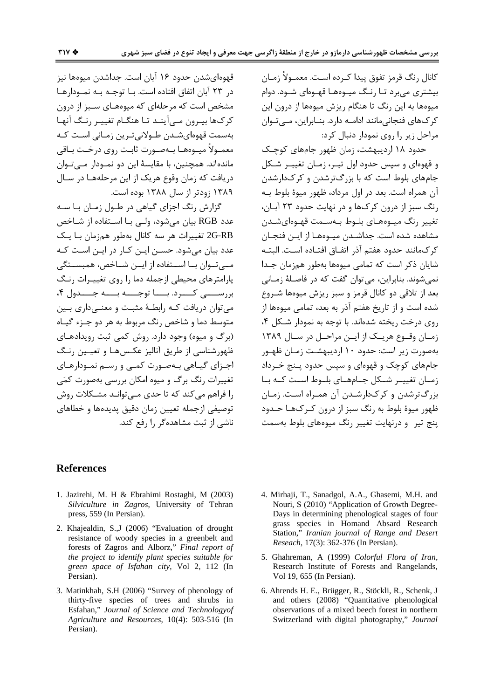كانال رنگ قرمز تفوق پيدا كـرده اسـت. معمـولاً زمـان بیشتری می برد تـا رنـگ میـوههـا قهـوهای شـود. دوام میوهها به این رنگ تا هنگام ریزش میوهها از درون این کر کـهای فنجانی،مانند ادامــه دارد. بنــابراین، مــی تــوان مراحل زیر را روی نمودار دنبال کرد:

حدود ۱۸ اردیبهشت، زمان ظهور جامهای کوچک و قهوهای و سیس حدود اول تیـر، زمـان تغییـر شـکل جامهای بلوط است که با بزرگ ترشدن و کرک\دارشدن آن همراه است. بعد در اول مرداد، ظهور میوهٔ بلوط بـه رنگ سبز از درون کرکها و در نهایت حدود ۲۳ آبان، تغيير رنگ ميـوەهـاي بلـوط بـهسـمت قهـوەايشـدن مشاهده شده است. جداشـدن میـوههـا از ایـن فنجـان كر كـمانند حدود هفتم آذر اتفـاق افتـاده اسـت. البتـه شایان ذکر است که تمامی میوهها بهطور همزمان جـدا نمي شوند. بنابراين، مي توان گفت كه در فاصـلهٔ زمـاني بعد از تلاقی دو کانال قرمز و سبز ریزش میوهها شـروع شده است و از تاریخ هفتم آذر به بعد، تمامی میوهها از روی درخت ریخته شدهاند. با توجه به نمودار شکل ۴، زمان وقوع هريك از اين مراحل در سال ١٣٨٩ بهصورت زیر است: حدود ۱۰ اردیبهشـت زمـان ظهـور جامهای کوچک و قهوهای و سپس حدود پـنج خـرداد زمیان تغییر شبکل جنامهیای بلیوط است کنه بیا بزرگ ترشدن و کرک\دارشـدن آن همـراه اسـت. زمـان ظهور میوهٔ بلوط به رنگ سبز از درون کـر کـهـا حـدود پنج تیر و درنهایت تغییر رنگ میوههای بلوط بهسمت

قهوەاي شدن حدود ۱۶ آبان است. جداشدن میوەھا نیز در ٢٣ آبان اتفاق افتاده است. بـا توجـه بـه نمـودارهـا مشخص است که مرحلهای که میوههـای سـبز از درون کرکھا بیرون مے آینـد تـا هنگـام تغییـر رنـگ آنهـا بەسمت قهوەایشىدن طىولانى تىرين زمـانى اسـت كـه معمـولاً ميـوەهـا بـهصـورت ثابـت روى درخـت بـاقى ماندهاند. همچنین، با مقایسهٔ این دو نمــودار مــیتــوان دریافت که زمان وقوع هریک از این مرحلههـا در سـال ١٣٨٩ زودتر از سال ١٣٨٨ بوده است.

گزارش رنگ اجزای گیاهی در طـول زمـان بـا سـه عدد RGB بيان مي شود، ولـى بـا اسـتفاده از شـاخص 2G-RB تغییرات هر سه کانال بهطور همزمان بـا یـک عدد بیان می شود. حســن ایــن کــار در ایــن اســت کــه مبے تــوان بــا اســتفاده از ایــن شــاخص، همبســتگی یارامترهای محیطی ازجمله دما را روی تغییرات رنگ بررسيے كسرد. بسا توجسه بسه جسدول ۴، می توان دریافت کـه رابطـهٔ مثبـت و معنــیداری بــین متوسط دما و شاخص رنگ مربوط به هر دو جـزء گيـاه (برگ و میوه) وجود دارد. روش کمی ثبت رویدادهای ظهورشناسی از طریق آنالیز عکـس۵هـا و تعیـین رنـگ اجـزای گیـاهی بـهصـورت کمـی و رسـم نمـودارهـای تغییرات رنگ برگ و میوه امکان بررسی بهصورت کمّی را فراهم می کند که تا حدی مے توانـد مشـکلات روش توصيفي ازجمله تعيين زمان دقيق يديدهها و خطاهاي ناشی از ثبت مشاهده گر را رفع کند.

#### **References**

- 1. Jazirehi, M. H & Ebrahimi Rostaghi, M (2003) Silviculture in Zagros, University of Tehran press, 559 (In Persian).
- 2. Khajealdin, S.,J (2006) "Evaluation of drought resistance of woody species in a greenbelt and forests of Zagros and Alborz," Final report of the project to identify plant species suitable for green space of Isfahan city, Vol 2, 112 (In Persian).
- 3. Matinkhah, S.H (2006) "Survey of phenology of thirty-five species of trees and shrubs in Esfahan," Journal of Science and Technologyof Agriculture and Resources, 10(4): 503-516 (In Persian).
- 4. Mirhaji, T., Sanadgol, A.A., Ghasemi, M.H. and Nouri, S (2010) "Application of Growth Degree-Days in determining phenological stages of four grass species in Homand Absard Research Station," Iranian journal of Range and Desert Reseach, 17(3): 362-376 (In Persian).
- 5. Ghahreman, A (1999) Colorful Flora of Iran, Research Institute of Forests and Rangelands, Vol 19, 655 (In Persian).
- 6. Ahrends H. E., Brügger, R., Stöckli, R., Schenk, J. and others (2008) "Quantitative phenological observations of a mixed beech forest in northern Switzerland with digital photography," Journal